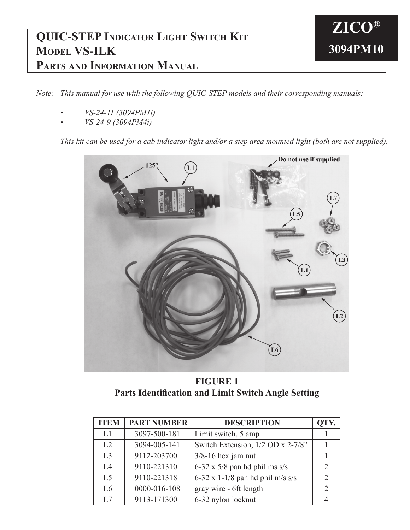## **QUIC-STEP Indicator Light Switch Kit Model VS-ILK Parts and Information Manual**

*Note: This manual for use with the following QUIC-STEP models and their corresponding manuals:*

- *• VS-24-11 (3094PM1i)*
- *• VS-24-9 (3094PM4i)*

This kit can be used for a cab indicator light and/or a step area mounted light (both are not supplied).

**ZICO®**

**3094PM10**



**FIGURE 1 Parts Identification and Limit Switch Angle Setting**

| <b>ITEM</b>    | <b>PART NUMBER</b> | <b>DESCRIPTION</b>                   | OTY. |
|----------------|--------------------|--------------------------------------|------|
| L1             | 3097-500-181       | Limit switch, 5 amp                  |      |
| L <sub>2</sub> | 3094-005-141       | Switch Extension, 1/2 OD x 2-7/8"    |      |
| L <sub>3</sub> | 9112-203700        | $3/8-16$ hex jam nut                 |      |
| I.4            | 9110-221310        | $6-32 \times 5/8$ pan hd phil ms s/s |      |
| L <sub>5</sub> | 9110-221318        | 6-32 x 1-1/8 pan hd phil m/s s/s     |      |
| L6             | 0000-016-108       | gray wire - 6ft length               |      |
| L7             | 9113-171300        | 6-32 nylon locknut                   |      |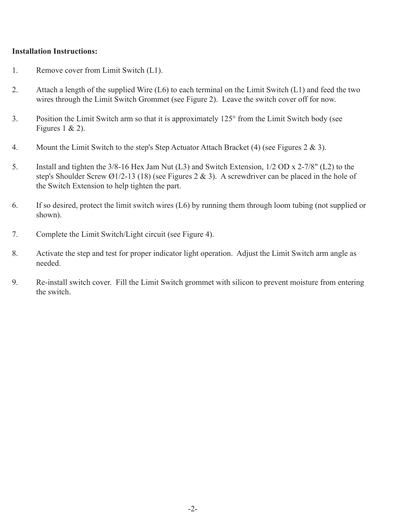## **Installation Instructions:**

- 1. Remove cover from Limit Switch (L1).
- 2. Attach a length of the supplied Wire (L6) to each terminal on the Limit Switch (L1) and feed the two wires through the Limit Switch Grommet (see Figure 2). Leave the switch cover off for now.
- 3. Position the Limit Switch arm so that it is approximately 125° from the Limit Switch body (see Figures 1 & 2).
- 4. Mount the Limit Switch to the step's Step Actuator Attach Bracket (4) (see Figures 2 & 3).
- 5. Install and tighten the 3/8-16 Hex Jam Nut (L3) and Switch Extension, 1/2 OD x 2-7/8" (L2) to the step's Shoulder Screw Ø1/2-13 (18) (see Figures 2 & 3). A screwdriver can be placed in the hole of the Switch Extension to help tighten the part.
- 6. If so desired, protect the limit switch wires (L6) by running them through loom tubing (not supplied or shown).
- 7. Complete the Limit Switch/Light circuit (see Figure 4).
- 8. Activate the step and test for proper indicator light operation. Adjust the Limit Switch arm angle as needed.
- 9. Re-install switch cover. Fill the Limit Switch grommet with silicon to prevent moisture from entering the switch.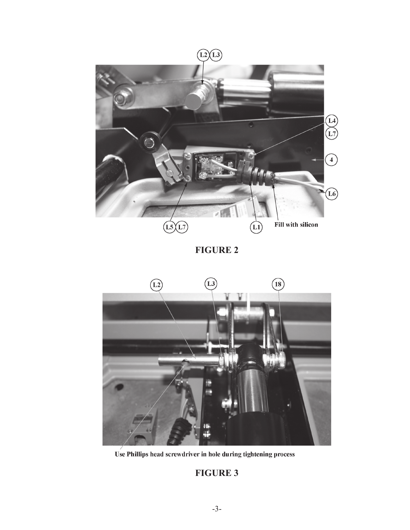

**FIGURE 2**



Use Phillips head screwdriver in hole during tightening process

## **FIGURE 3**